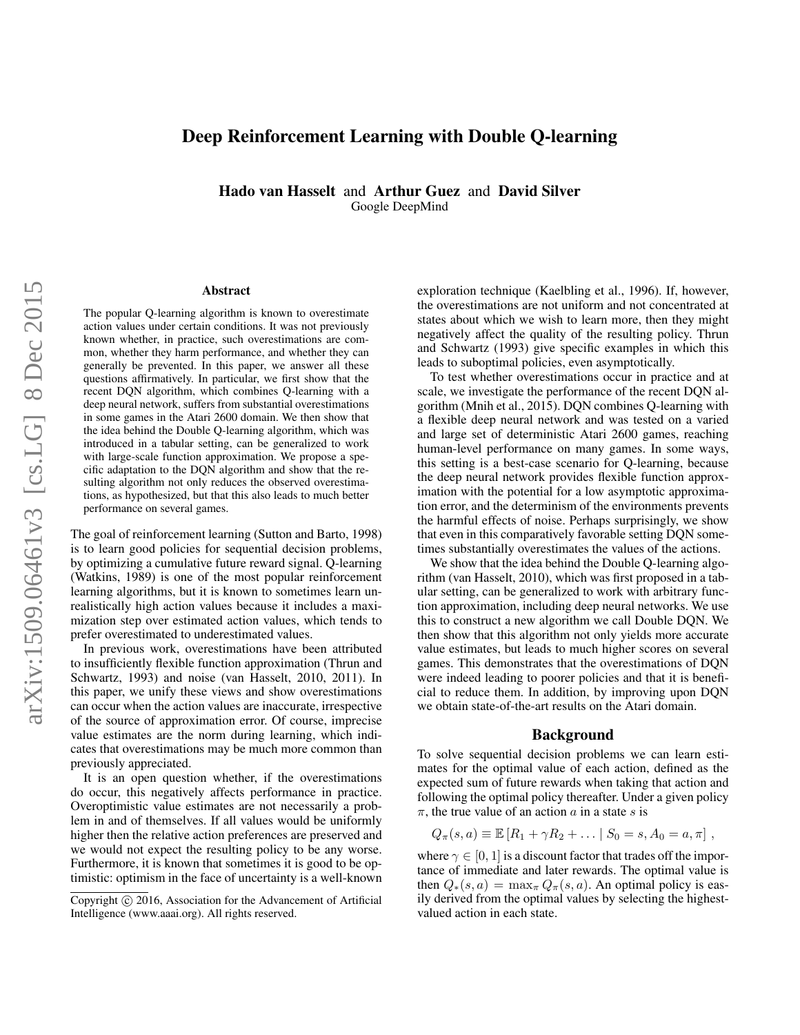# Deep Reinforcement Learning with Double Q-learning

Hado van Hasselt and Arthur Guez and David Silver Google DeepMind

#### Abstract

The popular Q-learning algorithm is known to overestimate action values under certain conditions. It was not previously known whether, in practice, such overestimations are common, whether they harm performance, and whether they can generally be prevented. In this paper, we answer all these questions affirmatively. In particular, we first show that the recent DQN algorithm, which combines Q-learning with a deep neural network, suffers from substantial overestimations in some games in the Atari 2600 domain. We then show that the idea behind the Double Q-learning algorithm, which was introduced in a tabular setting, can be generalized to work with large-scale function approximation. We propose a specific adaptation to the DQN algorithm and show that the resulting algorithm not only reduces the observed overestimations, as hypothesized, but that this also leads to much better performance on several games.

The goal of reinforcement learning (Sutton and Barto, 1998) is to learn good policies for sequential decision problems, by optimizing a cumulative future reward signal. Q-learning (Watkins, 1989) is one of the most popular reinforcement learning algorithms, but it is known to sometimes learn unrealistically high action values because it includes a maximization step over estimated action values, which tends to prefer overestimated to underestimated values.

In previous work, overestimations have been attributed to insufficiently flexible function approximation (Thrun and Schwartz, 1993) and noise (van Hasselt, 2010, 2011). In this paper, we unify these views and show overestimations can occur when the action values are inaccurate, irrespective of the source of approximation error. Of course, imprecise value estimates are the norm during learning, which indicates that overestimations may be much more common than previously appreciated.

It is an open question whether, if the overestimations do occur, this negatively affects performance in practice. Overoptimistic value estimates are not necessarily a problem in and of themselves. If all values would be uniformly higher then the relative action preferences are preserved and we would not expect the resulting policy to be any worse. Furthermore, it is known that sometimes it is good to be optimistic: optimism in the face of uncertainty is a well-known exploration technique (Kaelbling et al., 1996). If, however, the overestimations are not uniform and not concentrated at states about which we wish to learn more, then they might negatively affect the quality of the resulting policy. Thrun and Schwartz (1993) give specific examples in which this leads to suboptimal policies, even asymptotically.

To test whether overestimations occur in practice and at scale, we investigate the performance of the recent DQN algorithm (Mnih et al., 2015). DQN combines Q-learning with a flexible deep neural network and was tested on a varied and large set of deterministic Atari 2600 games, reaching human-level performance on many games. In some ways, this setting is a best-case scenario for Q-learning, because the deep neural network provides flexible function approximation with the potential for a low asymptotic approximation error, and the determinism of the environments prevents the harmful effects of noise. Perhaps surprisingly, we show that even in this comparatively favorable setting DQN sometimes substantially overestimates the values of the actions.

We show that the idea behind the Double Q-learning algorithm (van Hasselt, 2010), which was first proposed in a tabular setting, can be generalized to work with arbitrary function approximation, including deep neural networks. We use this to construct a new algorithm we call Double DQN. We then show that this algorithm not only yields more accurate value estimates, but leads to much higher scores on several games. This demonstrates that the overestimations of DQN were indeed leading to poorer policies and that it is beneficial to reduce them. In addition, by improving upon DQN we obtain state-of-the-art results on the Atari domain.

#### Background

To solve sequential decision problems we can learn estimates for the optimal value of each action, defined as the expected sum of future rewards when taking that action and following the optimal policy thereafter. Under a given policy  $\pi$ , the true value of an action a in a state s is

$$
Q_{\pi}(s, a) \equiv \mathbb{E}[R_1 + \gamma R_2 + \dots | S_0 = s, A_0 = a, \pi],
$$

where  $\gamma \in [0, 1]$  is a discount factor that trades off the importance of immediate and later rewards. The optimal value is then  $Q_*(s, a) = \max_{\pi} Q_{\pi}(s, a)$ . An optimal policy is easily derived from the optimal values by selecting the highestvalued action in each state.

Copyright  $\odot$  2016, Association for the Advancement of Artificial Intelligence (www.aaai.org). All rights reserved.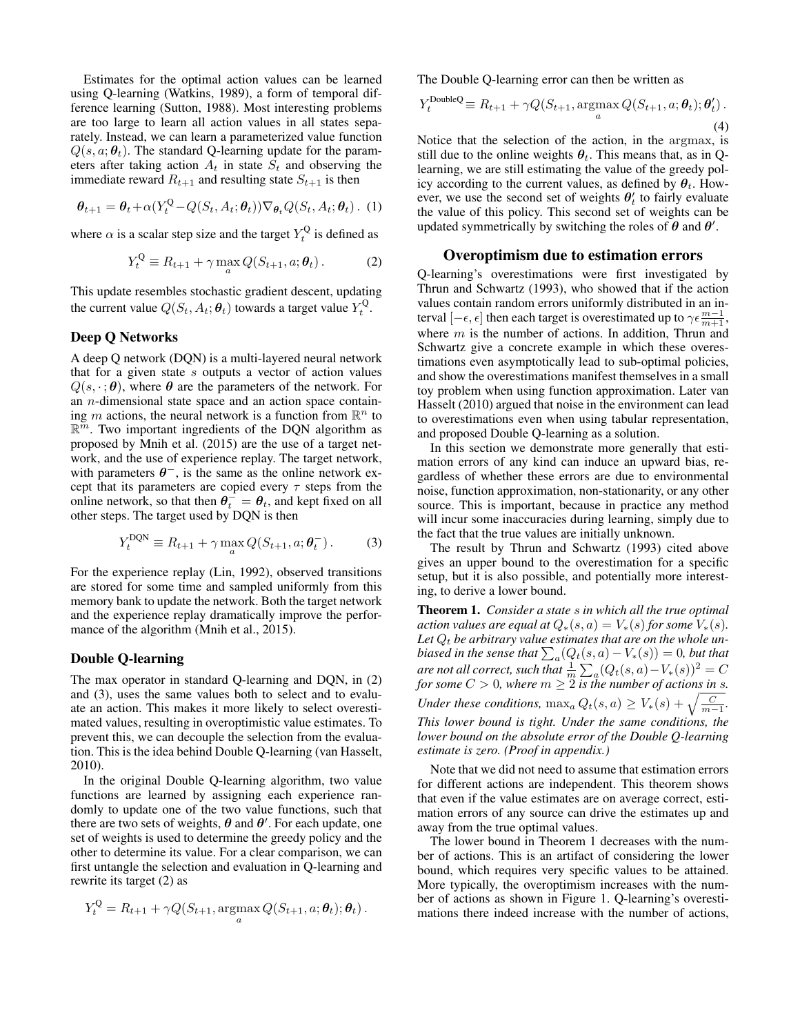Estimates for the optimal action values can be learned using Q-learning (Watkins, 1989), a form of temporal difference learning (Sutton, 1988). Most interesting problems are too large to learn all action values in all states separately. Instead, we can learn a parameterized value function  $Q(s, a; \theta_t)$ . The standard Q-learning update for the parameters after taking action  $A_t$  in state  $S_t$  and observing the immediate reward  $R_{t+1}$  and resulting state  $S_{t+1}$  is then

$$
\boldsymbol{\theta}_{t+1} = \boldsymbol{\theta}_t + \alpha (Y_t^Q - Q(S_t, A_t; \boldsymbol{\theta}_t)) \nabla_{\boldsymbol{\theta}_t} Q(S_t, A_t; \boldsymbol{\theta}_t) .
$$
 (1)

where  $\alpha$  is a scalar step size and the target  $Y_t^{\mathbb{Q}}$  is defined as

$$
Y_t^Q \equiv R_{t+1} + \gamma \max_a Q(S_{t+1}, a; \theta_t).
$$
 (2)

This update resembles stochastic gradient descent, updating the current value  $Q(S_t, A_t; \theta_t)$  towards a target value  $Y_t^Q$ .

## Deep Q Networks

A deep Q network (DQN) is a multi-layered neural network that for a given state  $s$  outputs a vector of action values  $Q(s, \cdot; \theta)$ , where  $\theta$  are the parameters of the network. For an n-dimensional state space and an action space containing m actions, the neural network is a function from  $\mathbb{R}^n$  to  $\mathbb{R}^{\overline{m}}$ . Two important ingredients of the DQN algorithm as proposed by Mnih et al. (2015) are the use of a target network, and the use of experience replay. The target network, with parameters  $\theta^-$ , is the same as the online network except that its parameters are copied every  $\tau$  steps from the online network, so that then  $\theta_t^- = \theta_t$ , and kept fixed on all other steps. The target used by DQN is then

$$
Y_t^{\text{DQN}} \equiv R_{t+1} + \gamma \max_a Q(S_{t+1}, a; \theta_t^{-}). \tag{3}
$$

For the experience replay (Lin, 1992), observed transitions are stored for some time and sampled uniformly from this memory bank to update the network. Both the target network and the experience replay dramatically improve the performance of the algorithm (Mnih et al., 2015).

## Double Q-learning

The max operator in standard Q-learning and DQN, in (2) and (3), uses the same values both to select and to evaluate an action. This makes it more likely to select overestimated values, resulting in overoptimistic value estimates. To prevent this, we can decouple the selection from the evaluation. This is the idea behind Double Q-learning (van Hasselt, 2010).

In the original Double Q-learning algorithm, two value functions are learned by assigning each experience randomly to update one of the two value functions, such that there are two sets of weights,  $\theta$  and  $\theta'$ . For each update, one set of weights is used to determine the greedy policy and the other to determine its value. For a clear comparison, we can first untangle the selection and evaluation in Q-learning and rewrite its target (2) as

$$
Y_t^Q = R_{t+1} + \gamma Q(S_{t+1}, \underset{a}{\operatorname{argmax}} Q(S_{t+1}, a; \theta_t); \theta_t).
$$

The Double Q-learning error can then be written as

$$
Y_t^{\text{DoubleQ}} \equiv R_{t+1} + \gamma Q(S_{t+1}, \underset{a}{\text{argmax}} Q(S_{t+1}, a; \theta_t); \theta'_t) \tag{4}
$$

Notice that the selection of the action, in the argmax, is still due to the online weights  $\theta_t$ . This means that, as in Olearning, we are still estimating the value of the greedy policy according to the current values, as defined by  $\theta_t$ . However, we use the second set of weights  $\theta'_t$  to fairly evaluate the value of this policy. This second set of weights can be updated symmetrically by switching the roles of  $\theta$  and  $\theta'$ .

#### Overoptimism due to estimation errors

Q-learning's overestimations were first investigated by Thrun and Schwartz (1993), who showed that if the action values contain random errors uniformly distributed in an interval  $[-\epsilon, \epsilon]$  then each target is overestimated up to  $\gamma \epsilon \frac{m-1}{m+1}$ , where  $m$  is the number of actions. In addition, Thrun and Schwartz give a concrete example in which these overestimations even asymptotically lead to sub-optimal policies, and show the overestimations manifest themselves in a small toy problem when using function approximation. Later van Hasselt (2010) argued that noise in the environment can lead to overestimations even when using tabular representation, and proposed Double Q-learning as a solution.

In this section we demonstrate more generally that estimation errors of any kind can induce an upward bias, regardless of whether these errors are due to environmental noise, function approximation, non-stationarity, or any other source. This is important, because in practice any method will incur some inaccuracies during learning, simply due to the fact that the true values are initially unknown.

The result by Thrun and Schwartz (1993) cited above gives an upper bound to the overestimation for a specific setup, but it is also possible, and potentially more interesting, to derive a lower bound.

Theorem 1. *Consider a state* s *in which all the true optimal action values are equal at*  $Q_*(s, a) = V_*(s)$  *for some*  $V_*(s)$ *.* Let  $Q_t$  be arbitrary value estimates that are on the whole unbiased in the sense that  $\sum_a (Q_t(s,a) - V_*(s)) = 0$ , but that *are not all correct, such that*  $\frac{1}{m} \sum_a (Q_t(s, a) - V_*(s))^2 = C$ *for some*  $C > 0$ *, where*  $m \geq 2$  *is the number of actions in s. Under these conditions,*  $\max_a Q_t(s, a) \ge V_*(s) + \sqrt{\frac{C}{m-1}}$ . *This lower bound is tight. Under the same conditions, the lower bound on the absolute error of the Double Q-learning estimate is zero. (Proof in appendix.)*

Note that we did not need to assume that estimation errors for different actions are independent. This theorem shows that even if the value estimates are on average correct, estimation errors of any source can drive the estimates up and away from the true optimal values.

The lower bound in Theorem 1 decreases with the number of actions. This is an artifact of considering the lower bound, which requires very specific values to be attained. More typically, the overoptimism increases with the number of actions as shown in Figure 1. Q-learning's overestimations there indeed increase with the number of actions,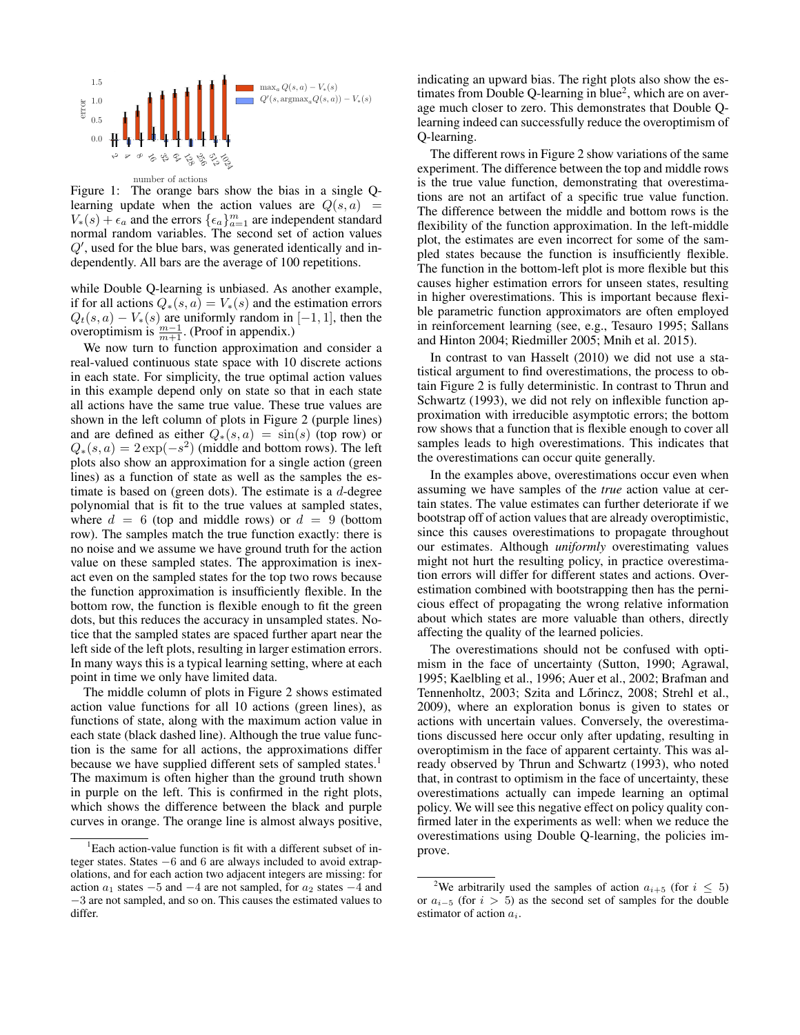

Figure 1: The orange bars show the bias in a single Qlearning update when the action values are  $Q(s, a)$  =  $V_*(s) + \epsilon_a$  and the errors  $\{\epsilon_a\}_{a=1}^m$  are independent standard normal random variables. The second set of action values  $Q'$ , used for the blue bars, was generated identically and independently. All bars are the average of 100 repetitions.

while Double Q-learning is unbiased. As another example, if for all actions  $Q_*(s, a) = V_*(s)$  and the estimation errors  $Q_t(s, a) - V_*(s)$  are uniformly random in [-1, 1], then the overoptimism is  $\frac{m-1}{m+1}$ . (Proof in appendix.)

We now turn to function approximation and consider a real-valued continuous state space with 10 discrete actions in each state. For simplicity, the true optimal action values in this example depend only on state so that in each state all actions have the same true value. These true values are shown in the left column of plots in Figure 2 (purple lines) and are defined as either  $Q_*(s, a) = \sin(s)$  (top row) or  $Q_*(s, a) = 2 \exp(-s^2)$  (middle and bottom rows). The left plots also show an approximation for a single action (green lines) as a function of state as well as the samples the estimate is based on (green dots). The estimate is a  $d$ -degree polynomial that is fit to the true values at sampled states, where  $d = 6$  (top and middle rows) or  $d = 9$  (bottom row). The samples match the true function exactly: there is no noise and we assume we have ground truth for the action value on these sampled states. The approximation is inexact even on the sampled states for the top two rows because the function approximation is insufficiently flexible. In the bottom row, the function is flexible enough to fit the green dots, but this reduces the accuracy in unsampled states. Notice that the sampled states are spaced further apart near the left side of the left plots, resulting in larger estimation errors. In many ways this is a typical learning setting, where at each point in time we only have limited data.

The middle column of plots in Figure 2 shows estimated action value functions for all 10 actions (green lines), as functions of state, along with the maximum action value in each state (black dashed line). Although the true value function is the same for all actions, the approximations differ because we have supplied different sets of sampled states.<sup>1</sup> The maximum is often higher than the ground truth shown in purple on the left. This is confirmed in the right plots, which shows the difference between the black and purple curves in orange. The orange line is almost always positive,

indicating an upward bias. The right plots also show the estimates from Double Q-learning in blue<sup>2</sup>, which are on average much closer to zero. This demonstrates that Double Qlearning indeed can successfully reduce the overoptimism of Q-learning.

The different rows in Figure 2 show variations of the same experiment. The difference between the top and middle rows is the true value function, demonstrating that overestimations are not an artifact of a specific true value function. The difference between the middle and bottom rows is the flexibility of the function approximation. In the left-middle plot, the estimates are even incorrect for some of the sampled states because the function is insufficiently flexible. The function in the bottom-left plot is more flexible but this causes higher estimation errors for unseen states, resulting in higher overestimations. This is important because flexible parametric function approximators are often employed in reinforcement learning (see, e.g., Tesauro 1995; Sallans and Hinton 2004; Riedmiller 2005; Mnih et al. 2015).

In contrast to van Hasselt (2010) we did not use a statistical argument to find overestimations, the process to obtain Figure 2 is fully deterministic. In contrast to Thrun and Schwartz (1993), we did not rely on inflexible function approximation with irreducible asymptotic errors; the bottom row shows that a function that is flexible enough to cover all samples leads to high overestimations. This indicates that the overestimations can occur quite generally.

In the examples above, overestimations occur even when assuming we have samples of the *true* action value at certain states. The value estimates can further deteriorate if we bootstrap off of action values that are already overoptimistic, since this causes overestimations to propagate throughout our estimates. Although *uniformly* overestimating values might not hurt the resulting policy, in practice overestimation errors will differ for different states and actions. Overestimation combined with bootstrapping then has the pernicious effect of propagating the wrong relative information about which states are more valuable than others, directly affecting the quality of the learned policies.

The overestimations should not be confused with optimism in the face of uncertainty (Sutton, 1990; Agrawal, 1995; Kaelbling et al., 1996; Auer et al., 2002; Brafman and Tennenholtz, 2003; Szita and Lőrincz, 2008; Strehl et al., 2009), where an exploration bonus is given to states or actions with uncertain values. Conversely, the overestimations discussed here occur only after updating, resulting in overoptimism in the face of apparent certainty. This was already observed by Thrun and Schwartz (1993), who noted that, in contrast to optimism in the face of uncertainty, these overestimations actually can impede learning an optimal policy. We will see this negative effect on policy quality confirmed later in the experiments as well: when we reduce the overestimations using Double Q-learning, the policies improve.

<sup>&</sup>lt;sup>1</sup>Each action-value function is fit with a different subset of integer states. States −6 and 6 are always included to avoid extrapolations, and for each action two adjacent integers are missing: for action  $a_1$  states  $-5$  and  $-4$  are not sampled, for  $a_2$  states  $-4$  and −3 are not sampled, and so on. This causes the estimated values to differ.

<sup>&</sup>lt;sup>2</sup>We arbitrarily used the samples of action  $a_{i+5}$  (for  $i \leq 5$ ) or  $a_{i-5}$  (for  $i > 5$ ) as the second set of samples for the double estimator of action  $a_i$ .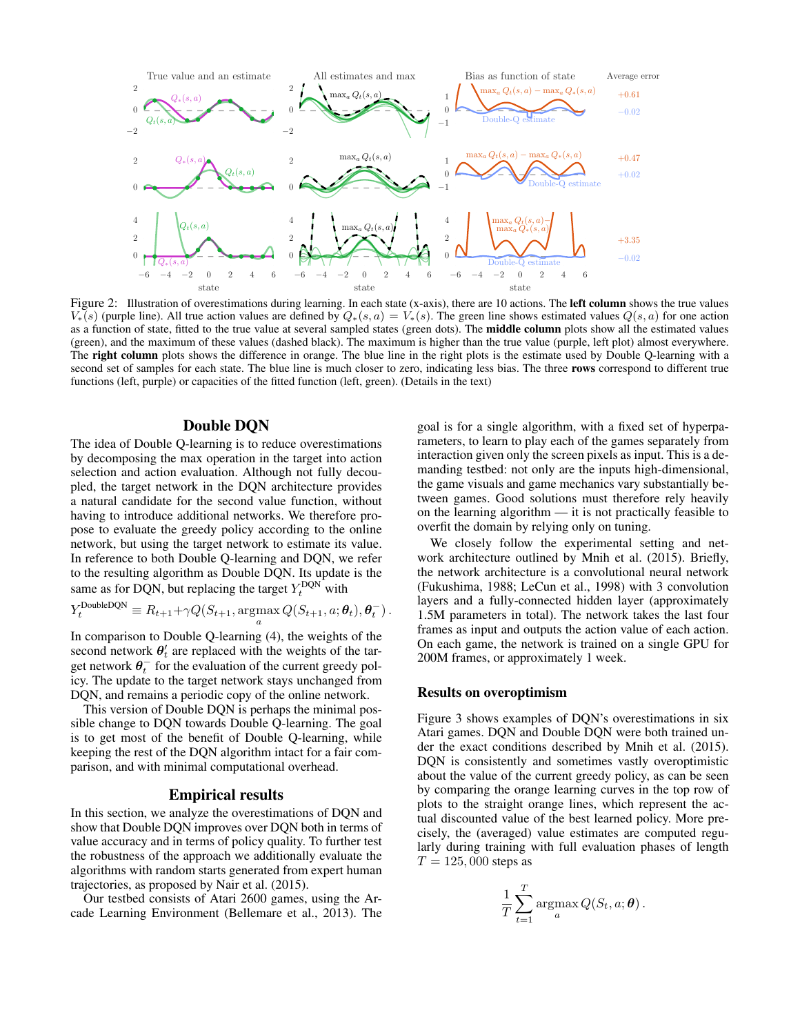

Figure 2: Illustration of overestimations during learning. In each state (x-axis), there are 10 actions. The **left column** shows the true values  $V_*(s)$  (purple line). All true action values are defined by  $Q_*(s, a) = V_*(s)$ . The green line shows estimated values  $Q(s, a)$  for one action as a function of state, fitted to the true value at several sampled states (green dots). The **middle column** plots show all the estimated values (green), and the maximum of these values (dashed black). The maximum is higher than the true value (purple, left plot) almost everywhere. The right column plots shows the difference in orange. The blue line in the right plots is the estimate used by Double Q-learning with a second set of samples for each state. The blue line is much closer to zero, indicating less bias. The three rows correspond to different true functions (left, purple) or capacities of the fitted function (left, green). (Details in the text)

## Double DQN

The idea of Double Q-learning is to reduce overestimations by decomposing the max operation in the target into action selection and action evaluation. Although not fully decoupled, the target network in the DQN architecture provides a natural candidate for the second value function, without having to introduce additional networks. We therefore propose to evaluate the greedy policy according to the online network, but using the target network to estimate its value. In reference to both Double Q-learning and DQN, we refer to the resulting algorithm as Double DQN. Its update is the same as for DQN, but replacing the target  $Y_t^{\text{DQN}}$  with

$$
Y_t^{\text{DoubleDQN}} \equiv R_{t+1} + \gamma Q(S_{t+1}, \operatorname*{argmax}_a Q(S_{t+1}, a; \theta_t), \theta_t^{-}).
$$

In comparison to Double Q-learning (4), the weights of the second network  $\theta'_t$  are replaced with the weights of the target network  $\theta_t^-$  for the evaluation of the current greedy policy. The update to the target network stays unchanged from DQN, and remains a periodic copy of the online network.

This version of Double DQN is perhaps the minimal possible change to DQN towards Double Q-learning. The goal is to get most of the benefit of Double Q-learning, while keeping the rest of the DQN algorithm intact for a fair comparison, and with minimal computational overhead.

#### Empirical results

In this section, we analyze the overestimations of DQN and show that Double DQN improves over DQN both in terms of value accuracy and in terms of policy quality. To further test the robustness of the approach we additionally evaluate the algorithms with random starts generated from expert human trajectories, as proposed by Nair et al. (2015).

Our testbed consists of Atari 2600 games, using the Arcade Learning Environment (Bellemare et al., 2013). The

goal is for a single algorithm, with a fixed set of hyperparameters, to learn to play each of the games separately from interaction given only the screen pixels as input. This is a demanding testbed: not only are the inputs high-dimensional, the game visuals and game mechanics vary substantially between games. Good solutions must therefore rely heavily on the learning algorithm — it is not practically feasible to overfit the domain by relying only on tuning.

We closely follow the experimental setting and network architecture outlined by Mnih et al. (2015). Briefly, the network architecture is a convolutional neural network (Fukushima, 1988; LeCun et al., 1998) with 3 convolution layers and a fully-connected hidden layer (approximately 1.5M parameters in total). The network takes the last four frames as input and outputs the action value of each action. On each game, the network is trained on a single GPU for 200M frames, or approximately 1 week.

### Results on overoptimism

Figure 3 shows examples of DQN's overestimations in six Atari games. DQN and Double DQN were both trained under the exact conditions described by Mnih et al. (2015). DQN is consistently and sometimes vastly overoptimistic about the value of the current greedy policy, as can be seen by comparing the orange learning curves in the top row of plots to the straight orange lines, which represent the actual discounted value of the best learned policy. More precisely, the (averaged) value estimates are computed regularly during training with full evaluation phases of length  $T = 125,000$  steps as

$$
\frac{1}{T} \sum_{t=1}^T \operatorname{argmax}_a Q(S_t, a; \boldsymbol{\theta}).
$$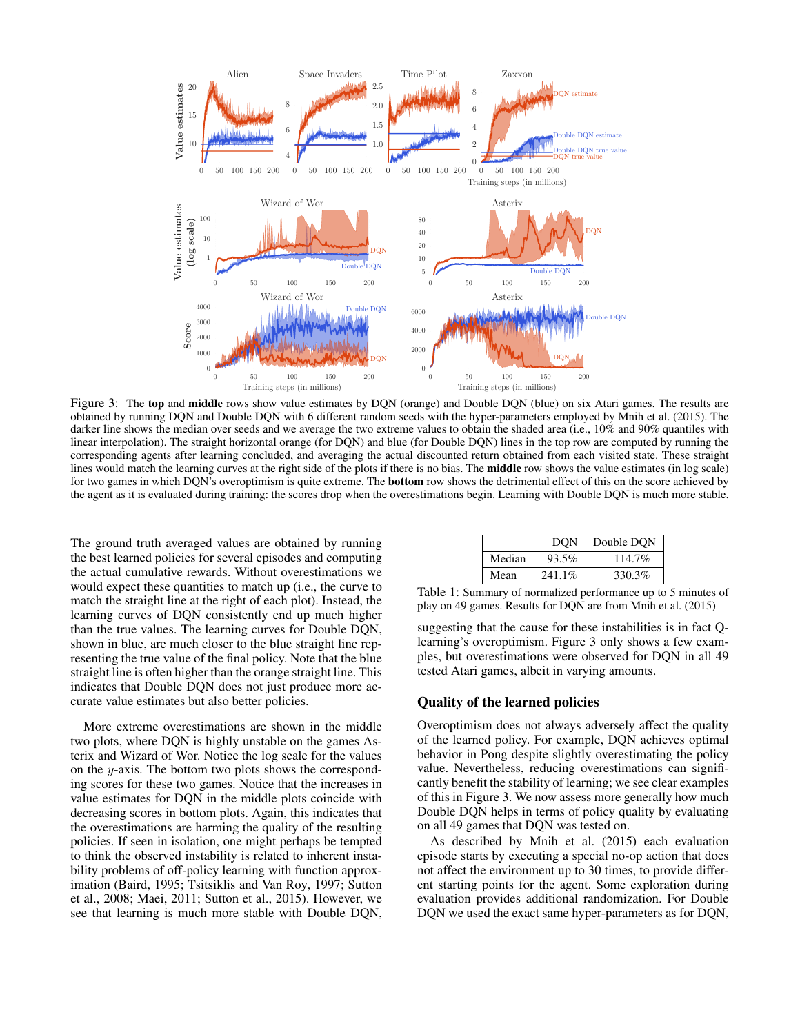

Figure 3: The top and middle rows show value estimates by DQN (orange) and Double DQN (blue) on six Atari games. The results are obtained by running DQN and Double DQN with 6 different random seeds with the hyper-parameters employed by Mnih et al. (2015). The darker line shows the median over seeds and we average the two extreme values to obtain the shaded area (i.e., 10% and 90% quantiles with linear interpolation). The straight horizontal orange (for DQN) and blue (for Double DQN) lines in the top row are computed by running the corresponding agents after learning concluded, and averaging the actual discounted return obtained from each visited state. These straight lines would match the learning curves at the right side of the plots if there is no bias. The **middle** row shows the value estimates (in log scale) for two games in which DQN's overoptimism is quite extreme. The bottom row shows the detrimental effect of this on the score achieved by the agent as it is evaluated during training: the scores drop when the overestimations begin. Learning with Double DQN is much more stable.

The ground truth averaged values are obtained by running the best learned policies for several episodes and computing the actual cumulative rewards. Without overestimations we would expect these quantities to match up (i.e., the curve to match the straight line at the right of each plot). Instead, the learning curves of DQN consistently end up much higher than the true values. The learning curves for Double DQN, shown in blue, are much closer to the blue straight line representing the true value of the final policy. Note that the blue straight line is often higher than the orange straight line. This indicates that Double DQN does not just produce more accurate value estimates but also better policies.

More extreme overestimations are shown in the middle two plots, where DQN is highly unstable on the games Asterix and Wizard of Wor. Notice the log scale for the values on the y-axis. The bottom two plots shows the corresponding scores for these two games. Notice that the increases in value estimates for DQN in the middle plots coincide with decreasing scores in bottom plots. Again, this indicates that the overestimations are harming the quality of the resulting policies. If seen in isolation, one might perhaps be tempted to think the observed instability is related to inherent instability problems of off-policy learning with function approximation (Baird, 1995; Tsitsiklis and Van Roy, 1997; Sutton et al., 2008; Maei, 2011; Sutton et al., 2015). However, we see that learning is much more stable with Double DQN,

|        | DON     | Double DON |
|--------|---------|------------|
| Median | 93.5%   | 114.7%     |
| Mean   | 241.1\% | 330.3%     |

Table 1: Summary of normalized performance up to 5 minutes of play on 49 games. Results for DQN are from Mnih et al. (2015)

suggesting that the cause for these instabilities is in fact Qlearning's overoptimism. Figure 3 only shows a few examples, but overestimations were observed for DQN in all 49 tested Atari games, albeit in varying amounts.

### Quality of the learned policies

Overoptimism does not always adversely affect the quality of the learned policy. For example, DQN achieves optimal behavior in Pong despite slightly overestimating the policy value. Nevertheless, reducing overestimations can significantly benefit the stability of learning; we see clear examples of this in Figure 3. We now assess more generally how much Double DQN helps in terms of policy quality by evaluating on all 49 games that DQN was tested on.

As described by Mnih et al. (2015) each evaluation episode starts by executing a special no-op action that does not affect the environment up to 30 times, to provide different starting points for the agent. Some exploration during evaluation provides additional randomization. For Double DQN we used the exact same hyper-parameters as for DQN,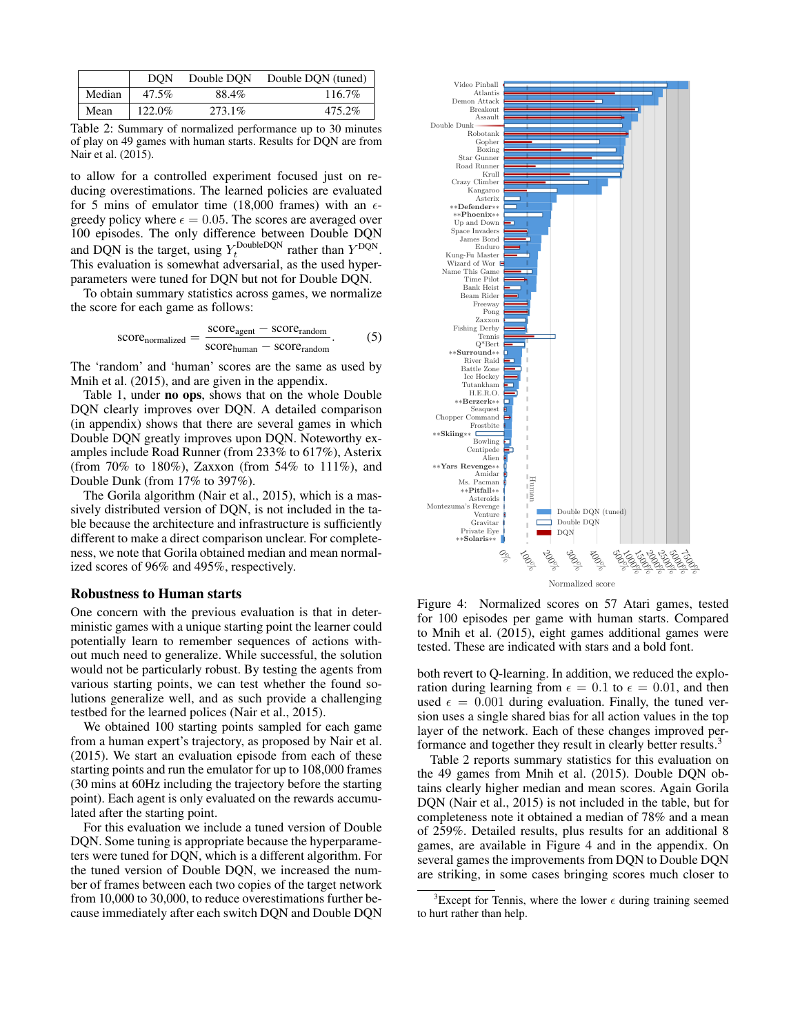|        | DON    | Double DON | Double DON (tuned) |
|--------|--------|------------|--------------------|
| Median | 47.5%  | 88.4%      | 116.7%             |
| Mean   | 122.0% | 273.1\%    | 475.2%             |

Table 2: Summary of normalized performance up to 30 minutes of play on 49 games with human starts. Results for DQN are from Nair et al. (2015).

to allow for a controlled experiment focused just on reducing overestimations. The learned policies are evaluated for 5 mins of emulator time (18,000 frames) with an  $\epsilon$ greedy policy where  $\epsilon = 0.05$ . The scores are averaged over 100 episodes. The only difference between Double DQN and DQN is the target, using  $Y_t^{\text{DoubleDQN}}$  rather than  $Y^{\text{DQN}}$ . This evaluation is somewhat adversarial, as the used hyperparameters were tuned for DQN but not for Double DQN.

To obtain summary statistics across games, we normalize the score for each game as follows:

$$
score_{normalized} = \frac{score_{agent} - score_{random}}{score_{human} - score_{random}}.\tag{5}
$$

The 'random' and 'human' scores are the same as used by Mnih et al. (2015), and are given in the appendix.

Table 1, under no ops, shows that on the whole Double DQN clearly improves over DQN. A detailed comparison (in appendix) shows that there are several games in which Double DQN greatly improves upon DQN. Noteworthy examples include Road Runner (from 233% to 617%), Asterix (from 70% to 180%), Zaxxon (from 54% to 111%), and Double Dunk (from 17% to 397%).

The Gorila algorithm (Nair et al., 2015), which is a massively distributed version of DQN, is not included in the table because the architecture and infrastructure is sufficiently different to make a direct comparison unclear. For completeness, we note that Gorila obtained median and mean normalized scores of 96% and 495%, respectively.

#### Robustness to Human starts

One concern with the previous evaluation is that in deterministic games with a unique starting point the learner could potentially learn to remember sequences of actions without much need to generalize. While successful, the solution would not be particularly robust. By testing the agents from various starting points, we can test whether the found solutions generalize well, and as such provide a challenging testbed for the learned polices (Nair et al., 2015).

We obtained 100 starting points sampled for each game from a human expert's trajectory, as proposed by Nair et al. (2015). We start an evaluation episode from each of these starting points and run the emulator for up to 108,000 frames (30 mins at 60Hz including the trajectory before the starting point). Each agent is only evaluated on the rewards accumulated after the starting point.

For this evaluation we include a tuned version of Double DQN. Some tuning is appropriate because the hyperparameters were tuned for DQN, which is a different algorithm. For the tuned version of Double DQN, we increased the number of frames between each two copies of the target network from 10,000 to 30,000, to reduce overestimations further because immediately after each switch DQN and Double DQN



Figure 4: Normalized scores on 57 Atari games, tested for 100 episodes per game with human starts. Compared to Mnih et al. (2015), eight games additional games were tested. These are indicated with stars and a bold font.

both revert to Q-learning. In addition, we reduced the exploration during learning from  $\epsilon = 0.1$  to  $\epsilon = 0.01$ , and then used  $\epsilon = 0.001$  during evaluation. Finally, the tuned version uses a single shared bias for all action values in the top layer of the network. Each of these changes improved performance and together they result in clearly better results.<sup>3</sup>

Table 2 reports summary statistics for this evaluation on the 49 games from Mnih et al. (2015). Double DQN obtains clearly higher median and mean scores. Again Gorila DQN (Nair et al., 2015) is not included in the table, but for completeness note it obtained a median of 78% and a mean of 259%. Detailed results, plus results for an additional 8 games, are available in Figure 4 and in the appendix. On several games the improvements from DQN to Double DQN are striking, in some cases bringing scores much closer to

<sup>&</sup>lt;sup>3</sup>Except for Tennis, where the lower  $\epsilon$  during training seemed to hurt rather than help.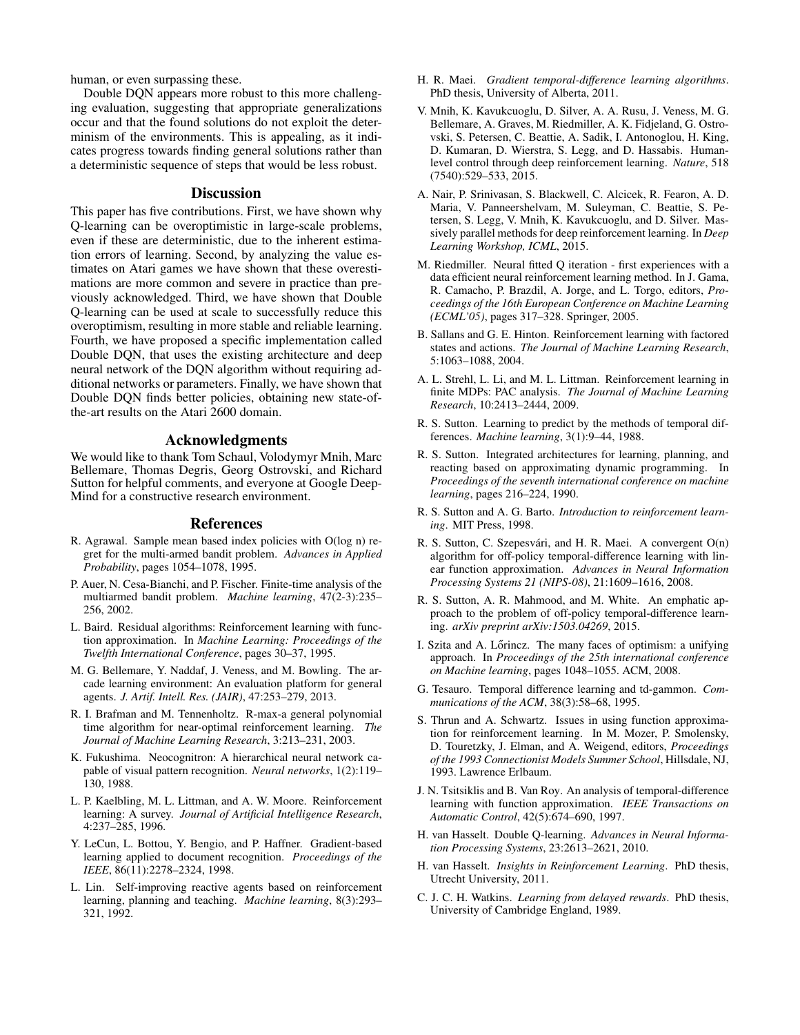human, or even surpassing these.

Double DQN appears more robust to this more challenging evaluation, suggesting that appropriate generalizations occur and that the found solutions do not exploit the determinism of the environments. This is appealing, as it indicates progress towards finding general solutions rather than a deterministic sequence of steps that would be less robust.

## **Discussion**

This paper has five contributions. First, we have shown why Q-learning can be overoptimistic in large-scale problems, even if these are deterministic, due to the inherent estimation errors of learning. Second, by analyzing the value estimates on Atari games we have shown that these overestimations are more common and severe in practice than previously acknowledged. Third, we have shown that Double Q-learning can be used at scale to successfully reduce this overoptimism, resulting in more stable and reliable learning. Fourth, we have proposed a specific implementation called Double DQN, that uses the existing architecture and deep neural network of the DQN algorithm without requiring additional networks or parameters. Finally, we have shown that Double DQN finds better policies, obtaining new state-ofthe-art results on the Atari 2600 domain.

#### Acknowledgments

We would like to thank Tom Schaul, Volodymyr Mnih, Marc Bellemare, Thomas Degris, Georg Ostrovski, and Richard Sutton for helpful comments, and everyone at Google Deep-Mind for a constructive research environment.

#### References

- R. Agrawal. Sample mean based index policies with O(log n) regret for the multi-armed bandit problem. *Advances in Applied Probability*, pages 1054–1078, 1995.
- P. Auer, N. Cesa-Bianchi, and P. Fischer. Finite-time analysis of the multiarmed bandit problem. *Machine learning*, 47(2-3):235– 256, 2002.
- L. Baird. Residual algorithms: Reinforcement learning with function approximation. In *Machine Learning: Proceedings of the Twelfth International Conference*, pages 30–37, 1995.
- M. G. Bellemare, Y. Naddaf, J. Veness, and M. Bowling. The arcade learning environment: An evaluation platform for general agents. *J. Artif. Intell. Res. (JAIR)*, 47:253–279, 2013.
- R. I. Brafman and M. Tennenholtz. R-max-a general polynomial time algorithm for near-optimal reinforcement learning. *The Journal of Machine Learning Research*, 3:213–231, 2003.
- K. Fukushima. Neocognitron: A hierarchical neural network capable of visual pattern recognition. *Neural networks*, 1(2):119– 130, 1988.
- L. P. Kaelbling, M. L. Littman, and A. W. Moore. Reinforcement learning: A survey. *Journal of Artificial Intelligence Research*, 4:237–285, 1996.
- Y. LeCun, L. Bottou, Y. Bengio, and P. Haffner. Gradient-based learning applied to document recognition. *Proceedings of the IEEE*, 86(11):2278–2324, 1998.
- L. Lin. Self-improving reactive agents based on reinforcement learning, planning and teaching. *Machine learning*, 8(3):293– 321, 1992.
- H. R. Maei. *Gradient temporal-difference learning algorithms*. PhD thesis, University of Alberta, 2011.
- V. Mnih, K. Kavukcuoglu, D. Silver, A. A. Rusu, J. Veness, M. G. Bellemare, A. Graves, M. Riedmiller, A. K. Fidjeland, G. Ostrovski, S. Petersen, C. Beattie, A. Sadik, I. Antonoglou, H. King, D. Kumaran, D. Wierstra, S. Legg, and D. Hassabis. Humanlevel control through deep reinforcement learning. *Nature*, 518 (7540):529–533, 2015.
- A. Nair, P. Srinivasan, S. Blackwell, C. Alcicek, R. Fearon, A. D. Maria, V. Panneershelvam, M. Suleyman, C. Beattie, S. Petersen, S. Legg, V. Mnih, K. Kavukcuoglu, and D. Silver. Massively parallel methods for deep reinforcement learning. In *Deep Learning Workshop, ICML*, 2015.
- M. Riedmiller. Neural fitted Q iteration first experiences with a data efficient neural reinforcement learning method. In J. Gama, R. Camacho, P. Brazdil, A. Jorge, and L. Torgo, editors, *Proceedings of the 16th European Conference on Machine Learning (ECML'05)*, pages 317–328. Springer, 2005.
- B. Sallans and G. E. Hinton. Reinforcement learning with factored states and actions. *The Journal of Machine Learning Research*, 5:1063–1088, 2004.
- A. L. Strehl, L. Li, and M. L. Littman. Reinforcement learning in finite MDPs: PAC analysis. *The Journal of Machine Learning Research*, 10:2413–2444, 2009.
- R. S. Sutton. Learning to predict by the methods of temporal differences. *Machine learning*, 3(1):9–44, 1988.
- R. S. Sutton. Integrated architectures for learning, planning, and reacting based on approximating dynamic programming. In *Proceedings of the seventh international conference on machine learning*, pages 216–224, 1990.
- R. S. Sutton and A. G. Barto. *Introduction to reinforcement learning*. MIT Press, 1998.
- R. S. Sutton, C. Szepesvári, and H. R. Maei. A convergent  $O(n)$ algorithm for off-policy temporal-difference learning with linear function approximation. *Advances in Neural Information Processing Systems 21 (NIPS-08)*, 21:1609–1616, 2008.
- R. S. Sutton, A. R. Mahmood, and M. White. An emphatic approach to the problem of off-policy temporal-difference learning. *arXiv preprint arXiv:1503.04269*, 2015.
- I. Szita and A. Lőrincz. The many faces of optimism: a unifying approach. In *Proceedings of the 25th international conference on Machine learning*, pages 1048–1055. ACM, 2008.
- G. Tesauro. Temporal difference learning and td-gammon. *Communications of the ACM*, 38(3):58–68, 1995.
- S. Thrun and A. Schwartz. Issues in using function approximation for reinforcement learning. In M. Mozer, P. Smolensky, D. Touretzky, J. Elman, and A. Weigend, editors, *Proceedings of the 1993 Connectionist Models Summer School*, Hillsdale, NJ, 1993. Lawrence Erlbaum.
- J. N. Tsitsiklis and B. Van Roy. An analysis of temporal-difference learning with function approximation. *IEEE Transactions on Automatic Control*, 42(5):674–690, 1997.
- H. van Hasselt. Double Q-learning. *Advances in Neural Information Processing Systems*, 23:2613–2621, 2010.
- H. van Hasselt. *Insights in Reinforcement Learning*. PhD thesis, Utrecht University, 2011.
- C. J. C. H. Watkins. *Learning from delayed rewards*. PhD thesis, University of Cambridge England, 1989.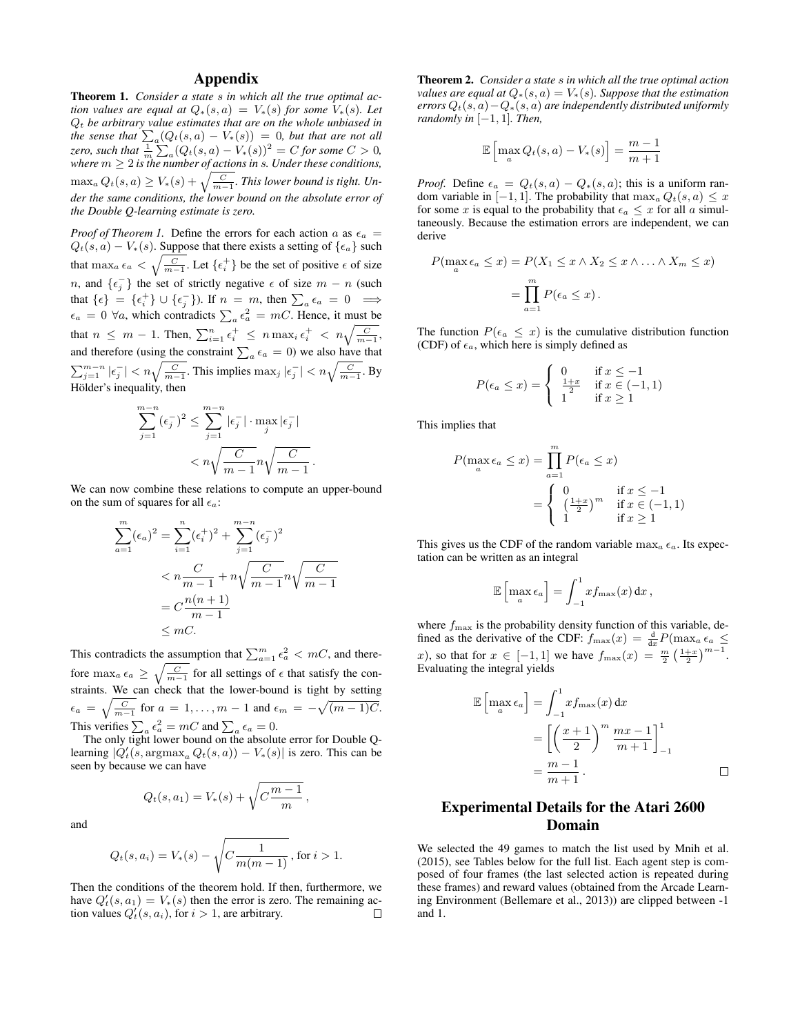# Appendix

Theorem 1. *Consider a state* s *in which all the true optimal action values are equal at*  $Q_*(s, a) = V_*(s)$  *for some*  $V_*(s)$ *. Let* Q<sup>t</sup> *be arbitrary value estimates that are on the whole unbiased in the sense that*  $\sum_{a} (Q_t(s, a) - V_*(s)) = 0$ *, but that are not all zero, such that*  $\frac{1}{m} \sum_a (Q_t(s, a) - V_*(s))^2 = C$  *for some*  $C > 0$ *, where*  $m \geq 2$  *is the number of actions in s. Under these conditions,*  $\max_a Q_t(s,a) \geq V_*(s) + \sqrt{\frac{C}{m-1}}.$  *This lower bound is tight. Under the same conditions, the lower bound on the absolute error of the Double Q-learning estimate is zero.*

*Proof of Theorem 1.* Define the errors for each action a as  $\epsilon_a$  =  $Q_t(s, a) - V_*(s)$ . Suppose that there exists a setting of  $\{\epsilon_a\}$  such that  $\max_{a \in a} \epsilon_a < \sqrt{\frac{C}{m-1}}$ . Let  $\{\epsilon_i^+\}$  be the set of positive  $\epsilon$  of size n, and  $\{\epsilon_j^-\}$  the set of strictly negative  $\epsilon$  of size  $m - n$  (such that  $\{\epsilon\} = \{\epsilon_i^+\} \cup \{\epsilon_j^-\}$ ). If  $n = m$ , then  $\sum_a \epsilon_a = 0 \implies$  $\epsilon_a = 0 \; \forall a$ , which contradicts  $\sum_a \epsilon_a^2 = mC$ . Hence, it must be that  $n \leq m-1$ . Then,  $\sum_{i=1}^{n} \epsilon_i^+ \leq n \max_i \epsilon_i^+ < n \sqrt{\frac{C}{m-1}}$ , and therefore (using the constraint  $\sum_{a} \epsilon_a = 0$ ) we also have that  $\sum_{j=1}^{m-n} |\epsilon_j^-| < n \sqrt{\frac{C}{m-1}}$ . This implies  $\max_j |\epsilon_j^-| < n \sqrt{\frac{C}{m-1}}$ . By Hölder's inequality, then

$$
\sum_{j=1}^{m-n} (\epsilon_j^-)^2 \le \sum_{j=1}^{m-n} |\epsilon_j^-| \cdot \max_j |\epsilon_j^-|
$$
  

$$
< n \sqrt{\frac{C}{m-1}} n \sqrt{\frac{C}{m-1}}.
$$

We can now combine these relations to compute an upper-bound on the sum of squares for all  $\epsilon_a$ :

$$
\sum_{a=1}^{m} (\epsilon_a)^2 = \sum_{i=1}^{n} (\epsilon_i^+)^2 + \sum_{j=1}^{m-n} (\epsilon_j^-)^2
$$
  

$$
< n \frac{C}{m-1} + n \sqrt{\frac{C}{m-1}} n \sqrt{\frac{C}{m-1}}
$$
  

$$
= C \frac{n(n+1)}{m-1}
$$
  

$$
\leq mC.
$$

This contradicts the assumption that  $\sum_{a=1}^{m} \epsilon_a^2 < mC$ , and therefore  $\max_{a \in \mathcal{a}} \epsilon_a \geq \sqrt{\frac{C}{m-1}}$  for all settings of  $\epsilon$  that satisfy the constraints. We can check that the lower-bound is tight by setting  $\epsilon_a = \sqrt{\frac{C}{m-1}}$  for  $a = 1, \ldots, m-1$  and  $\epsilon_m = -\sqrt{(m-1)C}$ . This verifies  $\sum_a \epsilon_a^2 = mC$  and  $\sum_a \epsilon_a = 0$ .

The only tight lower bound on the absolute error for Double Qlearning  $|Q'_t(s, \text{argmax}_a Q_t(s, a)) - V_*(s)|$  is zero. This can be seen by because we can have

$$
Q_t(s, a_1) = V_*(s) + \sqrt{C \frac{m-1}{m}},
$$

and

$$
Q_t(s, a_i) = V_*(s) - \sqrt{C \frac{1}{m(m-1)}}
$$
, for  $i > 1$ .

Then the conditions of the theorem hold. If then, furthermore, we have  $Q'_t(s, a_1) = V_*(s)$  then the error is zero. The remaining action values  $Q'_t(s, a_i)$ , for  $i > 1$ , are arbitrary.

Theorem 2. *Consider a state* s *in which all the true optimal action values are equal at*  $Q_*(s, a) = V_*(s)$ *. Suppose that the estimation errors*  $Q_t(s, a) - Q_*(s, a)$  *are independently distributed uniformly randomly in*  $[-1, 1]$ *. Then,* 

$$
\mathbb{E}\left[\max_{a} Q_t(s, a) - V_*(s)\right] = \frac{m-1}{m+1}
$$

*Proof.* Define  $\epsilon_a = Q_t(s, a) - Q_*(s, a)$ ; this is a uniform random variable in [−1, 1]. The probability that  $\max_a Q_t(s, a) \leq x$ for some x is equal to the probability that  $\epsilon_a \leq x$  for all a simultaneously. Because the estimation errors are independent, we can derive

$$
P(\max_{a} \epsilon_{a} \leq x) = P(X_{1} \leq x \land X_{2} \leq x \land \dots \land X_{m} \leq x)
$$

$$
= \prod_{a=1}^{m} P(\epsilon_{a} \leq x).
$$

The function  $P(\epsilon_a \leq x)$  is the cumulative distribution function (CDF) of  $\epsilon_a$ , which here is simply defined as

$$
P(\epsilon_a \le x) = \begin{cases} 0 & \text{if } x \le -1 \\ \frac{1+x}{2} & \text{if } x \in (-1,1) \\ 1 & \text{if } x \ge 1 \end{cases}
$$

This implies that

$$
P(\max_{a} \epsilon_{a} \leq x) = \prod_{a=1}^{m} P(\epsilon_{a} \leq x)
$$
  
= 
$$
\begin{cases} 0 & \text{if } x \leq -1 \\ \left(\frac{1+x}{2}\right)^{m} & \text{if } x \in (-1,1) \\ 1 & \text{if } x \geq 1 \end{cases}
$$

This gives us the CDF of the random variable  $\max_a \epsilon_a$ . Its expectation can be written as an integral

$$
\mathbb{E}\left[\max_a \epsilon_a\right] = \int_{-1}^1 x f_{\max}(x) \, \mathrm{d}x \,,
$$

where  $f_{\text{max}}$  is the probability density function of this variable, defined as the derivative of the CDF:  $f_{\text{max}}(x) = \frac{d}{dx} P(\max_a \epsilon_a \leq$ x), so that for  $x \in [-1, 1]$  we have  $f_{\text{max}}(x) = \frac{m}{2} \left(\frac{1+x}{2}\right)^{m-1}$ . Evaluating the integral yields

$$
\mathbb{E}\left[\max_{a} \epsilon_{a}\right] = \int_{-1}^{1} x f_{\max}(x) dx
$$

$$
= \left[\left(\frac{x+1}{2}\right)^{m} \frac{mx-1}{m+1}\right]_{-1}^{1}
$$

$$
= \frac{m-1}{m+1}.
$$

# Experimental Details for the Atari 2600 Domain

We selected the 49 games to match the list used by Mnih et al. (2015), see Tables below for the full list. Each agent step is composed of four frames (the last selected action is repeated during these frames) and reward values (obtained from the Arcade Learning Environment (Bellemare et al., 2013)) are clipped between -1 and 1.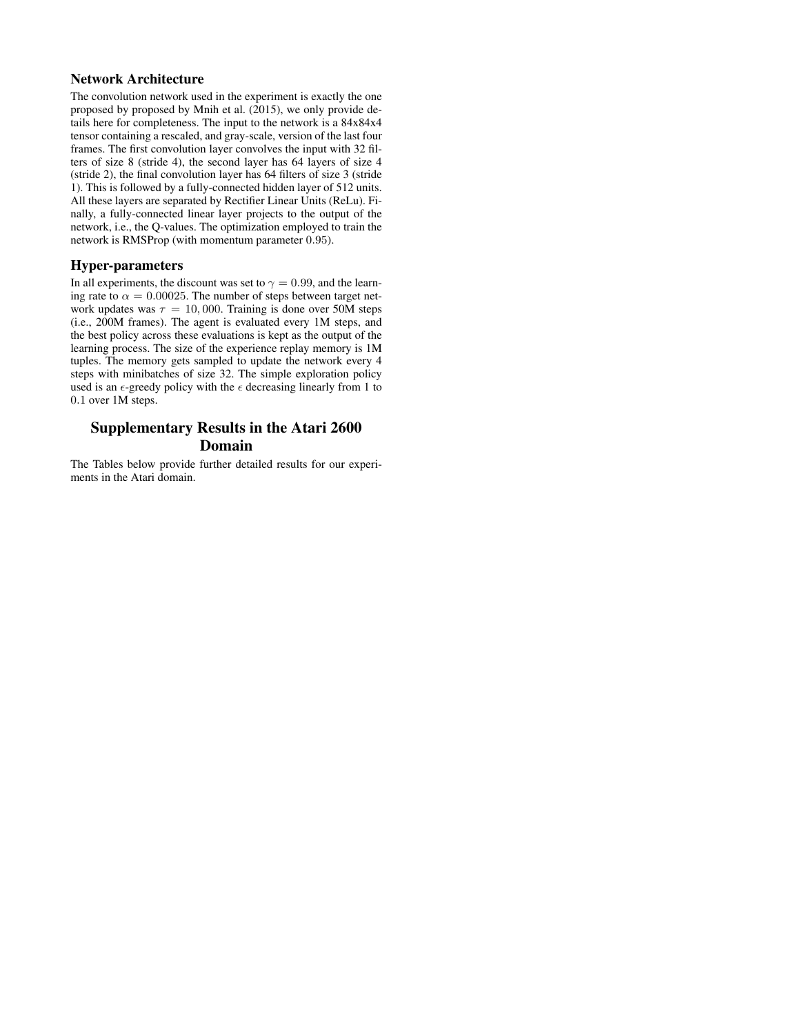## Network Architecture

The convolution network used in the experiment is exactly the one proposed by proposed by Mnih et al. (2015), we only provide details here for completeness. The input to the network is a 84x84x4 tensor containing a rescaled, and gray-scale, version of the last four frames. The first convolution layer convolves the input with 32 filters of size 8 (stride 4), the second layer has 64 layers of size 4 (stride 2), the final convolution layer has 64 filters of size 3 (stride 1). This is followed by a fully-connected hidden layer of 512 units. All these layers are separated by Rectifier Linear Units (ReLu). Finally, a fully-connected linear layer projects to the output of the network, i.e., the Q-values. The optimization employed to train the network is RMSProp (with momentum parameter 0.95).

## Hyper-parameters

In all experiments, the discount was set to  $\gamma = 0.99$ , and the learning rate to  $\alpha = 0.00025$ . The number of steps between target network updates was  $\tau = 10,000$ . Training is done over 50M steps (i.e., 200M frames). The agent is evaluated every 1M steps, and the best policy across these evaluations is kept as the output of the learning process. The size of the experience replay memory is 1M tuples. The memory gets sampled to update the network every 4 steps with minibatches of size 32. The simple exploration policy used is an  $\epsilon$ -greedy policy with the  $\epsilon$  decreasing linearly from 1 to 0.1 over 1M steps.

# Supplementary Results in the Atari 2600 Domain

The Tables below provide further detailed results for our experiments in the Atari domain.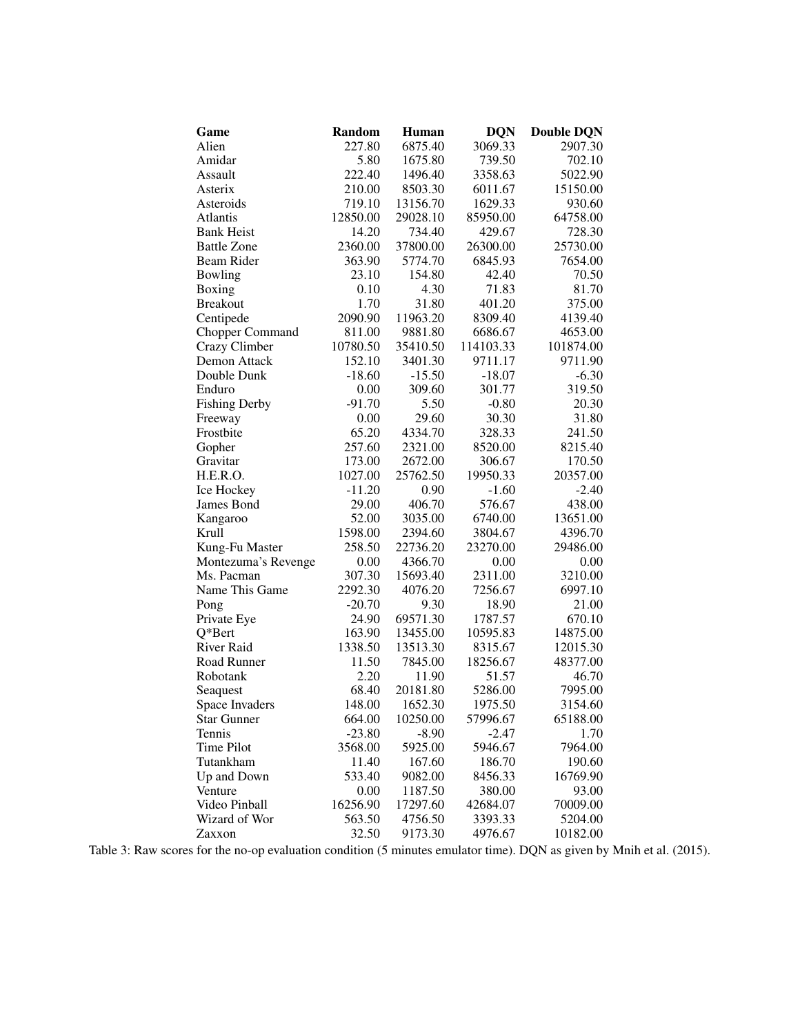| Game                   | <b>Random</b> | <b>Human</b> | <b>DQN</b> | <b>Double DQN</b> |
|------------------------|---------------|--------------|------------|-------------------|
| Alien                  | 227.80        | 6875.40      | 3069.33    | 2907.30           |
| Amidar                 | 5.80          | 1675.80      | 739.50     | 702.10            |
| Assault                | 222.40        | 1496.40      | 3358.63    | 5022.90           |
| Asterix                | 210.00        | 8503.30      | 6011.67    | 15150.00          |
| Asteroids              | 719.10        | 13156.70     | 1629.33    | 930.60            |
| Atlantis               | 12850.00      | 29028.10     | 85950.00   | 64758.00          |
| <b>Bank Heist</b>      | 14.20         | 734.40       | 429.67     | 728.30            |
| <b>Battle Zone</b>     | 2360.00       | 37800.00     | 26300.00   | 25730.00          |
| Beam Rider             | 363.90        | 5774.70      | 6845.93    | 7654.00           |
| Bowling                | 23.10         | 154.80       | 42.40      | 70.50             |
| Boxing                 | 0.10          | 4.30         | 71.83      | 81.70             |
| <b>Breakout</b>        | 1.70          | 31.80        | 401.20     | 375.00            |
| Centipede              | 2090.90       | 11963.20     | 8309.40    | 4139.40           |
| <b>Chopper Command</b> | 811.00        | 9881.80      | 6686.67    | 4653.00           |
| Crazy Climber          | 10780.50      | 35410.50     | 114103.33  | 101874.00         |
| Demon Attack           | 152.10        | 3401.30      | 9711.17    | 9711.90           |
| Double Dunk            | $-18.60$      | $-15.50$     | $-18.07$   | $-6.30$           |
| Enduro                 | 0.00          | 309.60       | 301.77     | 319.50            |
| <b>Fishing Derby</b>   | $-91.70$      | 5.50         | $-0.80$    | 20.30             |
| Freeway                | 0.00          | 29.60        | 30.30      | 31.80             |
| Frostbite              | 65.20         | 4334.70      | 328.33     | 241.50            |
| Gopher                 | 257.60        | 2321.00      | 8520.00    | 8215.40           |
| Gravitar               | 173.00        | 2672.00      | 306.67     | 170.50            |
| H.E.R.O.               | 1027.00       | 25762.50     | 19950.33   | 20357.00          |
| Ice Hockey             | $-11.20$      | 0.90         | $-1.60$    | $-2.40$           |
| James Bond             | 29.00         | 406.70       | 576.67     | 438.00            |
| Kangaroo               | 52.00         | 3035.00      | 6740.00    | 13651.00          |
| Krull                  | 1598.00       | 2394.60      | 3804.67    | 4396.70           |
| Kung-Fu Master         | 258.50        | 22736.20     | 23270.00   | 29486.00          |
| Montezuma's Revenge    | 0.00          | 4366.70      | 0.00       | 0.00              |
| Ms. Pacman             | 307.30        | 15693.40     | 2311.00    | 3210.00           |
| Name This Game         | 2292.30       | 4076.20      | 7256.67    | 6997.10           |
| Pong                   | $-20.70$      | 9.30         | 18.90      | 21.00             |
| Private Eye            | 24.90         | 69571.30     | 1787.57    | 670.10            |
| $Q*Bert$               | 163.90        | 13455.00     | 10595.83   | 14875.00          |
| <b>River Raid</b>      | 1338.50       | 13513.30     | 8315.67    | 12015.30          |
| Road Runner            | 11.50         | 7845.00      | 18256.67   | 48377.00          |
| Robotank               | 2.20          | 11.90        | 51.57      | 46.70             |
| Seaguest               | 68.40         | 20181.80     | 5286.00    | 7995.00           |
| Space Invaders         | 148.00        | 1652.30      | 1975.50    | 3154.60           |
| <b>Star Gunner</b>     | 664.00        | 10250.00     | 57996.67   | 65188.00          |
| Tennis                 | $-23.80$      | $-8.90$      | $-2.47$    | 1.70              |
| Time Pilot             | 3568.00       | 5925.00      | 5946.67    | 7964.00           |
| Tutankham              | 11.40         | 167.60       | 186.70     | 190.60            |
| Up and Down            | 533.40        | 9082.00      | 8456.33    | 16769.90          |
| Venture                | 0.00          | 1187.50      | 380.00     | 93.00             |
| Video Pinball          | 16256.90      | 17297.60     | 42684.07   | 70009.00          |
| Wizard of Wor          | 563.50        | 4756.50      | 3393.33    | 5204.00           |
| Zaxxon                 | 32.50         | 9173.30      | 4976.67    | 10182.00          |

Table 3: Raw scores for the no-op evaluation condition (5 minutes emulator time). DQN as given by Mnih et al. (2015).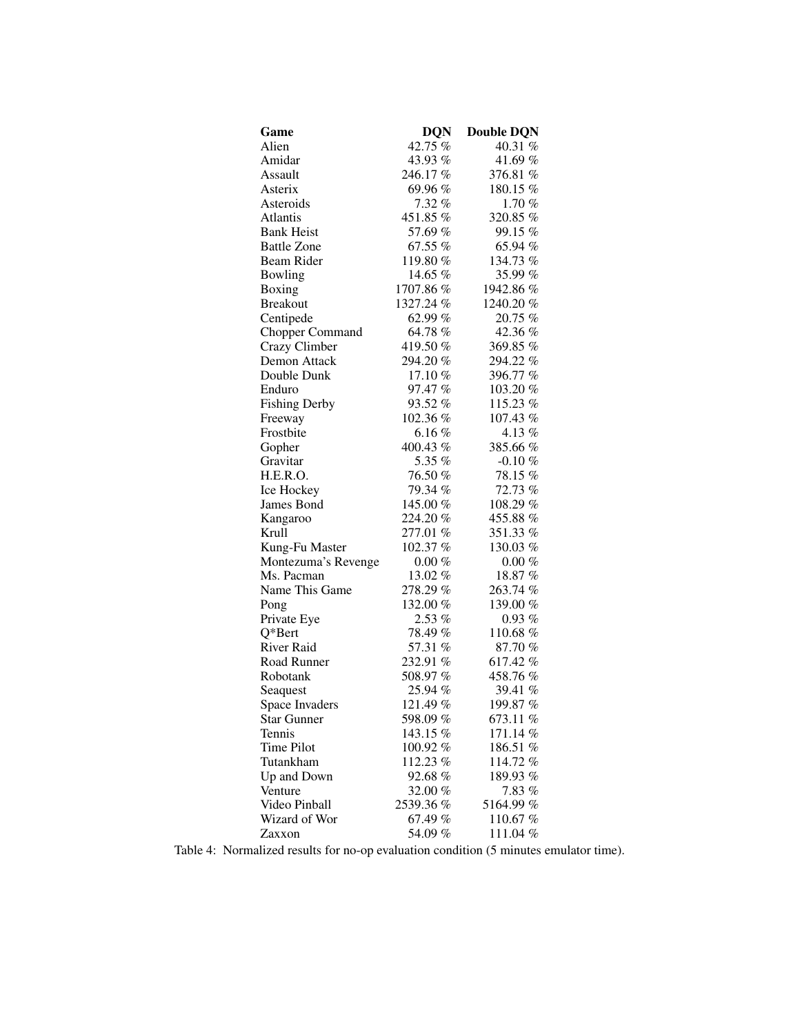| Game                   | <b>DQN</b> | <b>Double DQN</b> |
|------------------------|------------|-------------------|
| Alien                  | 42.75 %    | 40.31 %           |
| Amidar                 | 43.93%     | 41.69%            |
| Assault                | 246.17 %   | 376.81 %          |
| Asterix                | 69.96%     | 180.15 %          |
| Asteroids              | $7.32\%$   | 1.70%             |
| Atlantis               | 451.85 %   | 320.85 %          |
| <b>Bank Heist</b>      | 57.69 %    | 99.15 %           |
| <b>Battle Zone</b>     | 67.55 %    | 65.94 %           |
| Beam Rider             | 119.80%    | 134.73 %          |
| Bowling                | 14.65 %    | 35.99 %           |
| Boxing                 | 1707.86 %  | 1942.86 %         |
| <b>Breakout</b>        | 1327.24 %  | 1240.20%          |
| Centipede              | 62.99 %    | 20.75 %           |
| <b>Chopper Command</b> | 64.78 %    | 42.36 %           |
| Crazy Climber          | 419.50 %   | 369.85%           |
| Demon Attack           | 294.20 %   | 294.22 %          |
| Double Dunk            | $17.10\%$  | 396.77 %          |
| Enduro                 | 97.47 %    | 103.20%           |
| <b>Fishing Derby</b>   | 93.52%     | 115.23 %          |
| Freeway                | 102.36 %   | 107.43 %          |
| Frostbite              | 6.16%      | 4.13%             |
| Gopher                 | 400.43 %   | 385.66%           |
| Gravitar               | 5.35 %     | $-0.10\%$         |
| H.E.R.O.               | 76.50 %    | 78.15 %           |
| Ice Hockey             | 79.34 %    | 72.73 %           |
| James Bond             | 145.00 %   | 108.29%           |
| Kangaroo               | 224.20%    | 455.88%           |
| Krull                  | 277.01 %   | 351.33%           |
| Kung-Fu Master         | 102.37 %   | 130.03 $%$        |
| Montezuma's Revenge    | $0.00 \%$  | $0.00\%$          |
| Ms. Pacman             | 13.02 %    | 18.87 %           |
| Name This Game         | 278.29 %   | 263.74%           |
| Pong                   | 132.00 %   | 139.00%           |
| Private Eye            | $2.53\%$   | $0.93\%$          |
| $Q*Bert$               | 78.49 %    | 110.68%           |
| River Raid             | 57.31 %    | 87.70%            |
| Road Runner            | 232.91 %   | 617.42%           |
| Robotank               | 508.97 %   | 458.76%           |
| Seaquest               | 25.94 %    | 39.41 %           |
| Space Invaders         | 121.49 %   | 199.87 %          |
| <b>Star Gunner</b>     | 598.09%    | 673.11 %          |
| Tennis                 | 143.15 %   | 171.14 %          |
| Time Pilot             | 100.92%    | 186.51 %          |
| Tutankham              | 112.23 %   | 114.72%           |
| Up and Down            | 92.68 %    | 189.93%           |
| Venture                | 32.00 %    | 7.83%             |
| Video Pinball          | 2539.36%   | 5164.99 %         |
| Wizard of Wor          | 67.49 %    | 110.67 %          |
| Zaxxon                 | 54.09%     | 111.04 %          |

Table 4: Normalized results for no-op evaluation condition (5 minutes emulator time).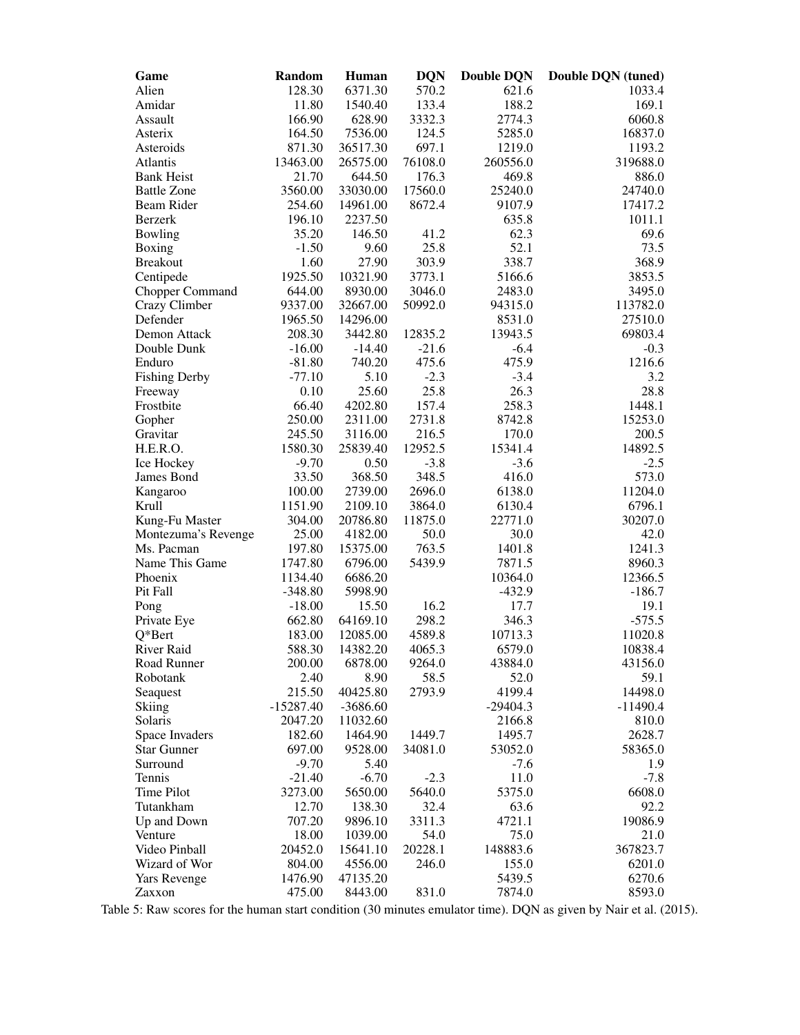| Game                 | Random               | <b>Human</b>  | <b>DQN</b>     | <b>Double DQN</b> | Double DQN (tuned) |
|----------------------|----------------------|---------------|----------------|-------------------|--------------------|
| Alien                | 128.30               | 6371.30       | 570.2          | 621.6             | 1033.4             |
| Amidar               | 11.80                | 1540.40       | 133.4          | 188.2             | 169.1              |
| Assault              | 166.90               | 628.90        | 3332.3         | 2774.3            | 6060.8             |
| Asterix              | 164.50               | 7536.00       | 124.5          | 5285.0            | 16837.0            |
| Asteroids            | 871.30               | 36517.30      | 697.1          | 1219.0            | 1193.2             |
| Atlantis             | 13463.00             | 26575.00      | 76108.0        | 260556.0          | 319688.0           |
| <b>Bank Heist</b>    | 21.70                | 644.50        | 176.3          | 469.8             | 886.0              |
| <b>Battle Zone</b>   | 3560.00              | 33030.00      | 17560.0        | 25240.0           | 24740.0            |
| Beam Rider           | 254.60               | 14961.00      | 8672.4         | 9107.9            | 17417.2            |
| <b>Berzerk</b>       | 196.10               | 2237.50       |                | 635.8             | 1011.1             |
| Bowling              | 35.20                | 146.50        | 41.2           | 62.3              | 69.6               |
| Boxing               | $-1.50$              | 9.60          | 25.8           | 52.1              | 73.5               |
| <b>Breakout</b>      | 1.60                 | 27.90         | 303.9          | 338.7             | 368.9              |
| Centipede            | 1925.50              | 10321.90      | 3773.1         | 5166.6            | 3853.5             |
| Chopper Command      | 644.00               | 8930.00       | 3046.0         | 2483.0            | 3495.0             |
| Crazy Climber        | 9337.00              | 32667.00      | 50992.0        | 94315.0           | 113782.0           |
| Defender             | 1965.50              | 14296.00      |                | 8531.0            | 27510.0            |
| Demon Attack         | 208.30               | 3442.80       | 12835.2        | 13943.5           | 69803.4            |
| Double Dunk          | $-16.00$             | $-14.40$      | $-21.6$        | $-6.4$            | $-0.3$             |
| Enduro               | $-81.80$<br>$-77.10$ | 740.20        | 475.6          | 475.9             | 1216.6             |
| <b>Fishing Derby</b> | 0.10                 | 5.10<br>25.60 | $-2.3$<br>25.8 | $-3.4$<br>26.3    | 3.2<br>28.8        |
| Freeway<br>Frostbite | 66.40                | 4202.80       | 157.4          | 258.3             | 1448.1             |
| Gopher               | 250.00               | 2311.00       | 2731.8         | 8742.8            | 15253.0            |
| Gravitar             | 245.50               | 3116.00       | 216.5          | 170.0             | 200.5              |
| H.E.R.O.             | 1580.30              | 25839.40      | 12952.5        | 15341.4           | 14892.5            |
| Ice Hockey           | $-9.70$              | 0.50          | $-3.8$         | $-3.6$            | $-2.5$             |
| James Bond           | 33.50                | 368.50        | 348.5          | 416.0             | 573.0              |
| Kangaroo             | 100.00               | 2739.00       | 2696.0         | 6138.0            | 11204.0            |
| Krull                | 1151.90              | 2109.10       | 3864.0         | 6130.4            | 6796.1             |
| Kung-Fu Master       | 304.00               | 20786.80      | 11875.0        | 22771.0           | 30207.0            |
| Montezuma's Revenge  | 25.00                | 4182.00       | 50.0           | 30.0              | 42.0               |
| Ms. Pacman           | 197.80               | 15375.00      | 763.5          | 1401.8            | 1241.3             |
| Name This Game       | 1747.80              | 6796.00       | 5439.9         | 7871.5            | 8960.3             |
| Phoenix              | 1134.40              | 6686.20       |                | 10364.0           | 12366.5            |
| Pit Fall             | $-348.80$            | 5998.90       |                | $-432.9$          | $-186.7$           |
| Pong                 | $-18.00$             | 15.50         | 16.2           | 17.7              | 19.1               |
| Private Eye          | 662.80               | 64169.10      | 298.2          | 346.3             | $-575.5$           |
| Q*Bert               | 183.00               | 12085.00      | 4589.8         | 10713.3           | 11020.8            |
| River Raid           | 588.30               | 14382.20      | 4065.3         | 6579.0            | 10838.4            |
| Road Runner          | 200.00               | 6878.00       | 9264.0         | 43884.0           | 43156.0            |
| Robotank             | 2.40                 | 8.90          | 58.5           | 52.0              | 59.1               |
| Seaquest             | 215.50               | 40425.80      | 2793.9         | 4199.4            | 14498.0            |
| <b>Skiing</b>        | $-15287.40$          | $-3686.60$    |                | $-29404.3$        | $-11490.4$         |
| Solaris              | 2047.20              | 11032.60      |                | 2166.8            | 810.0              |
| Space Invaders       | 182.60               | 1464.90       | 1449.7         | 1495.7            | 2628.7             |
| <b>Star Gunner</b>   | 697.00               | 9528.00       | 34081.0        | 53052.0           | 58365.0            |
| Surround             | $-9.70$              | 5.40          |                | $-7.6$            | 1.9                |
| Tennis               | $-21.40$             | $-6.70$       | $-2.3$         | 11.0              | $-7.8$             |
| Time Pilot           | 3273.00              | 5650.00       | 5640.0         | 5375.0            | 6608.0             |
| Tutankham            | 12.70                | 138.30        | 32.4           | 63.6              | 92.2               |
| Up and Down          | 707.20               | 9896.10       | 3311.3         | 4721.1            | 19086.9            |
| Venture              | 18.00                | 1039.00       | 54.0           | 75.0              | 21.0               |
| Video Pinball        | 20452.0              | 15641.10      | 20228.1        | 148883.6          | 367823.7           |
| Wizard of Wor        | 804.00               | 4556.00       | 246.0          | 155.0             | 6201.0             |
| <b>Yars Revenge</b>  | 1476.90              | 47135.20      |                | 5439.5            | 6270.6             |
| Zaxxon               | 475.00               | 8443.00       | 831.0          | 7874.0            | 8593.0             |

Table 5: Raw scores for the human start condition (30 minutes emulator time). DQN as given by Nair et al. (2015).